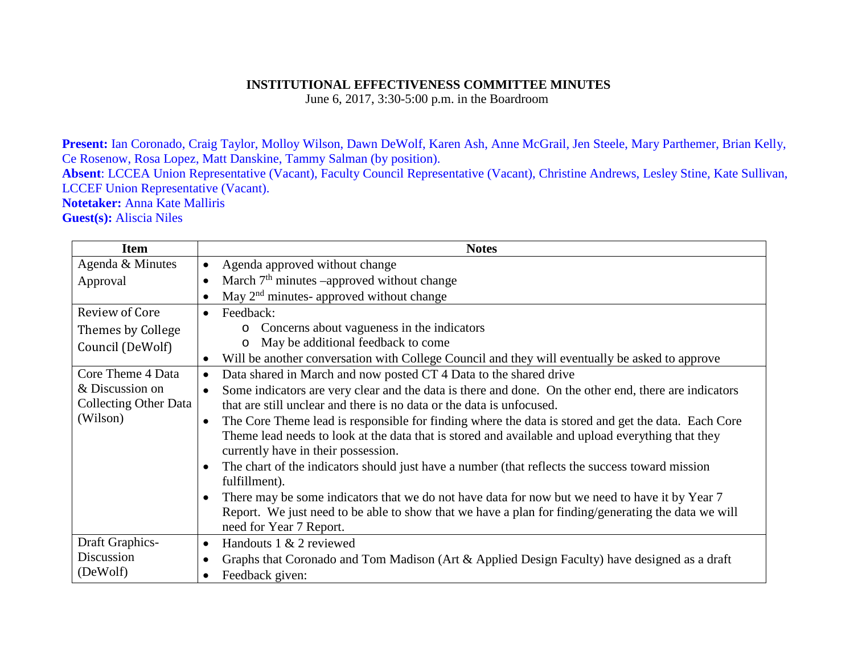## **INSTITUTIONAL EFFECTIVENESS COMMITTEE MINUTES**

June 6, 2017, 3:30-5:00 p.m. in the Boardroom

**Present:** Ian Coronado, Craig Taylor, Molloy Wilson, Dawn DeWolf, Karen Ash, Anne McGrail, Jen Steele, Mary Parthemer, Brian Kelly, Ce Rosenow, Rosa Lopez, Matt Danskine, Tammy Salman (by position).

**Absent**: LCCEA Union Representative (Vacant), Faculty Council Representative (Vacant), Christine Andrews, Lesley Stine, Kate Sullivan, LCCEF Union Representative (Vacant).

**Notetaker:** Anna Kate Malliris

**Guest(s):** Aliscia Niles

| <b>Item</b>                  | <b>Notes</b>                                                                                                       |
|------------------------------|--------------------------------------------------------------------------------------------------------------------|
| Agenda & Minutes             | Agenda approved without change<br>$\bullet$                                                                        |
| Approval                     | March 7 <sup>th</sup> minutes –approved without change<br>$\bullet$                                                |
|                              | May 2 <sup>nd</sup> minutes- approved without change<br>$\bullet$                                                  |
| Review of Core               | Feedback:<br>$\bullet$                                                                                             |
| Themes by College            | • Concerns about vagueness in the indicators                                                                       |
| Council (DeWolf)             | May be additional feedback to come<br>$\circ$                                                                      |
|                              | Will be another conversation with College Council and they will eventually be asked to approve<br>$\bullet$        |
| Core Theme 4 Data            | Data shared in March and now posted CT 4 Data to the shared drive<br>$\bullet$                                     |
| & Discussion on              | Some indicators are very clear and the data is there and done. On the other end, there are indicators<br>$\bullet$ |
| <b>Collecting Other Data</b> | that are still unclear and there is no data or the data is unfocused.                                              |
| (Wilson)                     | The Core Theme lead is responsible for finding where the data is stored and get the data. Each Core<br>$\bullet$   |
|                              | Theme lead needs to look at the data that is stored and available and upload everything that they                  |
|                              | currently have in their possession.                                                                                |
|                              | The chart of the indicators should just have a number (that reflects the success toward mission<br>$\bullet$       |
|                              | fulfillment).                                                                                                      |
|                              | There may be some indicators that we do not have data for now but we need to have it by Year 7<br>$\bullet$        |
|                              | Report. We just need to be able to show that we have a plan for finding/generating the data we will                |
|                              | need for Year 7 Report.                                                                                            |
| Draft Graphics-              | Handouts 1 & 2 reviewed<br>$\bullet$                                                                               |
| Discussion                   | Graphs that Coronado and Tom Madison (Art & Applied Design Faculty) have designed as a draft<br>$\bullet$          |
| (DeWolf)                     | Feedback given:<br>$\bullet$                                                                                       |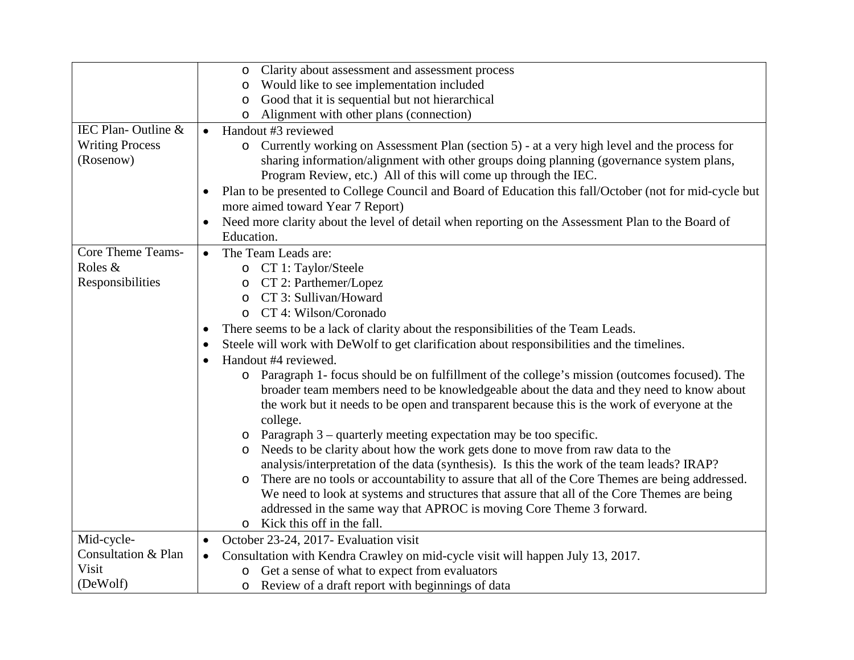|                          | Clarity about assessment and assessment process<br>$\circ$                                                           |
|--------------------------|----------------------------------------------------------------------------------------------------------------------|
|                          | Would like to see implementation included<br>$\circ$                                                                 |
|                          | Good that it is sequential but not hierarchical<br>O                                                                 |
|                          | Alignment with other plans (connection)<br>$\circ$                                                                   |
| IEC Plan-Outline &       | Handout #3 reviewed<br>$\bullet$                                                                                     |
| <b>Writing Process</b>   | o Currently working on Assessment Plan (section 5) - at a very high level and the process for                        |
| (Rosenow)                | sharing information/alignment with other groups doing planning (governance system plans,                             |
|                          | Program Review, etc.) All of this will come up through the IEC.                                                      |
|                          | Plan to be presented to College Council and Board of Education this fall/October (not for mid-cycle but<br>$\bullet$ |
|                          | more aimed toward Year 7 Report)                                                                                     |
|                          | Need more clarity about the level of detail when reporting on the Assessment Plan to the Board of                    |
|                          | Education.                                                                                                           |
| <b>Core Theme Teams-</b> | The Team Leads are:<br>$\bullet$                                                                                     |
| Roles &                  | o CT 1: Taylor/Steele                                                                                                |
| Responsibilities         | CT 2: Parthemer/Lopez<br>$\circ$                                                                                     |
|                          | CT 3: Sullivan/Howard<br>$\circ$                                                                                     |
|                          | CT 4: Wilson/Coronado                                                                                                |
|                          | There seems to be a lack of clarity about the responsibilities of the Team Leads.<br>$\bullet$                       |
|                          | Steele will work with DeWolf to get clarification about responsibilities and the timelines.<br>$\bullet$             |
|                          | Handout #4 reviewed.<br>$\bullet$                                                                                    |
|                          | Paragraph 1- focus should be on fulfillment of the college's mission (outcomes focused). The<br>$\circ$              |
|                          | broader team members need to be knowledgeable about the data and they need to know about                             |
|                          | the work but it needs to be open and transparent because this is the work of everyone at the                         |
|                          | college.                                                                                                             |
|                          | Paragraph 3 – quarterly meeting expectation may be too specific.<br>O                                                |
|                          | Needs to be clarity about how the work gets done to move from raw data to the<br>O                                   |
|                          | analysis/interpretation of the data (synthesis). Is this the work of the team leads? IRAP?                           |
|                          | There are no tools or accountability to assure that all of the Core Themes are being addressed.<br>O                 |
|                          | We need to look at systems and structures that assure that all of the Core Themes are being                          |
|                          | addressed in the same way that APROC is moving Core Theme 3 forward.                                                 |
|                          | Kick this off in the fall.<br>$\circ$                                                                                |
| Mid-cycle-               | October 23-24, 2017- Evaluation visit<br>$\bullet$                                                                   |
| Consultation & Plan      | Consultation with Kendra Crawley on mid-cycle visit will happen July 13, 2017.<br>$\bullet$                          |
| Visit                    | Get a sense of what to expect from evaluators<br>$\circ$                                                             |
| (DeWolf)                 | Review of a draft report with beginnings of data<br>$\circ$                                                          |